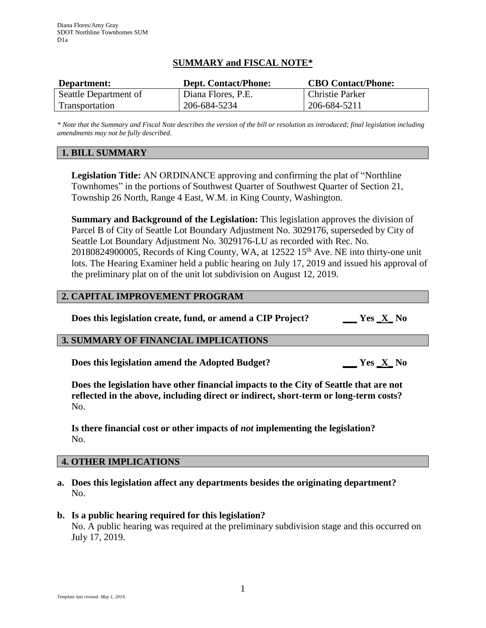## **SUMMARY and FISCAL NOTE\***

| Department:           | <b>Dept. Contact/Phone:</b> | <b>CBO Contact/Phone:</b> |
|-----------------------|-----------------------------|---------------------------|
| Seattle Department of | Diana Flores, P.E.          | Christie Parker           |
| Transportation        | 206-684-5234                | 206-684-5211              |

*\* Note that the Summary and Fiscal Note describes the version of the bill or resolution as introduced; final legislation including amendments may not be fully described.*

## **1. BILL SUMMARY**

**Legislation Title:** AN ORDINANCE approving and confirming the plat of "Northline Townhomes" in the portions of Southwest Quarter of Southwest Quarter of Section 21, Township 26 North, Range 4 East, W.M. in King County, Washington.

**Summary and Background of the Legislation:** This legislation approves the division of Parcel B of City of Seattle Lot Boundary Adjustment No. 3029176, superseded by City of Seattle Lot Boundary Adjustment No. 3029176-LU as recorded with Rec. No. 20180824900005, Records of King County, WA, at 12522 15<sup>th</sup> Ave. NE into thirty-one unit lots. The Hearing Examiner held a public hearing on July 17, 2019 and issued his approval of the preliminary plat on of the unit lot subdivision on August 12, 2019.

### **2. CAPITAL IMPROVEMENT PROGRAM**

**Does this legislation create, fund, or amend a CIP Project? \_\_\_ Yes \_X\_ No**

# **3. SUMMARY OF FINANCIAL IMPLICATIONS**

**Does this legislation amend the Adopted Budget? \_\_\_ Yes \_X\_ No**

**Does the legislation have other financial impacts to the City of Seattle that are not reflected in the above, including direct or indirect, short-term or long-term costs?** No.

**Is there financial cost or other impacts of** *not* **implementing the legislation?** No.

#### **4. OTHER IMPLICATIONS**

**a. Does this legislation affect any departments besides the originating department?** No.

# **b. Is a public hearing required for this legislation?**

No. A public hearing was required at the preliminary subdivision stage and this occurred on July 17, 2019.